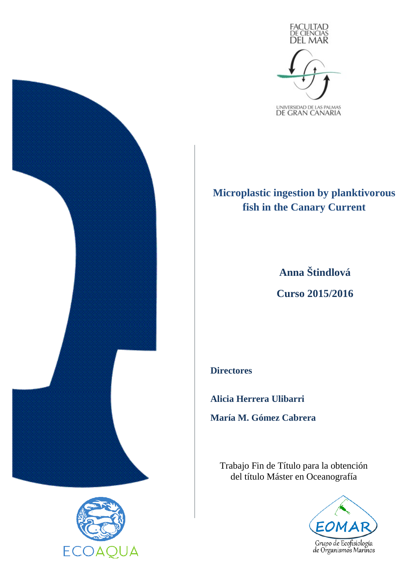

# **Microplastic ingestion by planktivorous fish in the Canary Current**

**Anna Štindlová Curso 2015/2016**

**Directores**

**Alicia Herrera Ulibarri María M. Gómez Cabrera**

Trabajo Fin de Título para la obtención del título Máster en Oceanografía





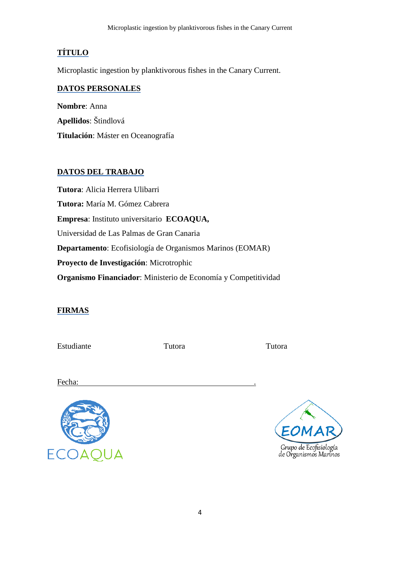## **TÍTULO**

Microplastic ingestion by planktivorous fishes in the Canary Current.

## **DATOS PERSONALES**

**Nombre**: Anna **Apellidos**: Štindlová **Titulación**: Máster en Oceanografía

## **DATOS DEL TRABAJO**

**Tutora**: Alicia Herrera Ulibarri **Tutora:** María M. Gómez Cabrera **Empresa**: Instituto universitario **ECOAQUA,**  Universidad de Las Palmas de Gran Canaria **Departamento**: Ecofisiología de Organismos Marinos (EOMAR) **Proyecto de Investigación**: Microtrophic **Organismo Financiador**: Ministerio de Economía y Competitividad

## **FIRMAS**

Estudiante Tutora Tutora de Tutora de Tutora de Tutora de Tutora de Tutora de Tutora de Tutora de Tutora de Tu

Fecha:



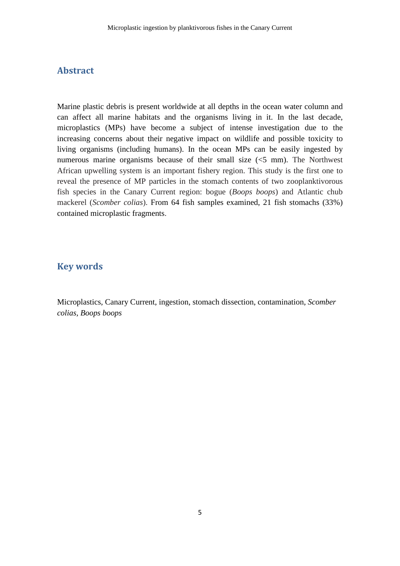## **Abstract**

Marine plastic debris is present worldwide at all depths in the ocean water column and can affect all marine habitats and the organisms living in it. In the last decade, microplastics (MPs) have become a subject of intense investigation due to the increasing concerns about their negative impact on wildlife and possible toxicity to living organisms (including humans). In the ocean MPs can be easily ingested by numerous marine organisms because of their small size (<5 mm). The Northwest African upwelling system is an important fishery region. This study is the first one to reveal the presence of MP particles in the stomach contents of two zooplanktivorous fish species in the Canary Current region: bogue (*Boops boops*) and Atlantic chub mackerel (*Scomber colias*). From 64 fish samples examined, 21 fish stomachs (33%) contained microplastic fragments.

## **Key words**

Microplastics, Canary Current, ingestion, stomach dissection, contamination, *Scomber colias, Boops boops*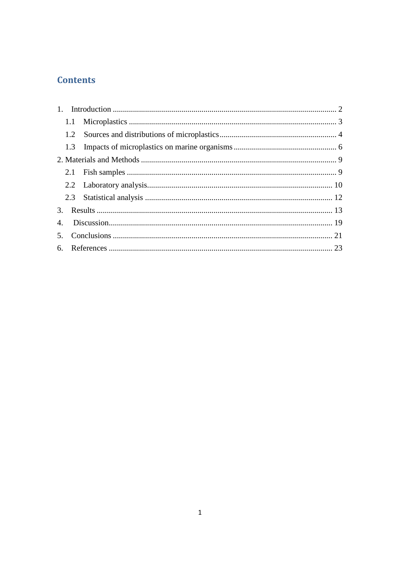# **Contents**

|    | 1.1 |  |  |  |  |  |  |
|----|-----|--|--|--|--|--|--|
|    | 1.2 |  |  |  |  |  |  |
|    | 1.3 |  |  |  |  |  |  |
|    |     |  |  |  |  |  |  |
|    |     |  |  |  |  |  |  |
|    |     |  |  |  |  |  |  |
|    |     |  |  |  |  |  |  |
|    |     |  |  |  |  |  |  |
| 4. |     |  |  |  |  |  |  |
|    |     |  |  |  |  |  |  |
|    |     |  |  |  |  |  |  |
|    |     |  |  |  |  |  |  |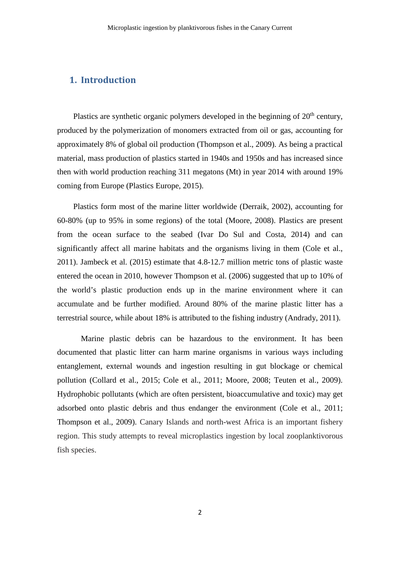## **1. Introduction**

Plastics are synthetic organic polymers developed in the beginning of  $20<sup>th</sup>$  century, produced by the polymerization of monomers extracted from oil or gas, accounting for approximately 8% of global oil production (Thompson et al., 2009). As being a practical material, mass production of plastics started in 1940s and 1950s and has increased since then with world production reaching 311 megatons (Mt) in year 2014 with around 19% coming from Europe (Plastics Europe, 2015).

Plastics form most of the marine litter worldwide (Derraik, 2002), accounting for 60-80% (up to 95% in some regions) of the total (Moore, 2008). Plastics are present from the ocean surface to the seabed (Ivar Do Sul and Costa, 2014) and can significantly affect all marine habitats and the organisms living in them (Cole et al., 2011). Jambeck et al. (2015) estimate that 4.8-12.7 million metric tons of plastic waste entered the ocean in 2010, however Thompson et al. (2006) suggested that up to 10% of the world's plastic production ends up in the marine environment where it can accumulate and be further modified. Around 80% of the marine plastic litter has a terrestrial source, while about 18% is attributed to the fishing industry (Andrady, 2011).

Marine plastic debris can be hazardous to the environment. It has been documented that plastic litter can harm marine organisms in various ways including entanglement, external wounds and ingestion resulting in gut blockage or chemical pollution (Collard et al., 2015; Cole et al., 2011; Moore, 2008; Teuten et al., 2009). Hydrophobic pollutants (which are often persistent, bioaccumulative and toxic) may get adsorbed onto plastic debris and thus endanger the environment (Cole et al., 2011; Thompson et al., 2009). Canary Islands and north-west Africa is an important fishery region. This study attempts to reveal microplastics ingestion by local zooplanktivorous fish species.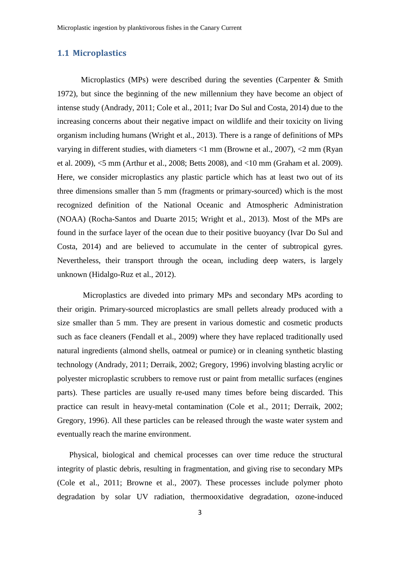#### **1.1 Microplastics**

Microplastics (MPs) were described during the seventies (Carpenter  $\&$  Smith 1972), but since the beginning of the new millennium they have become an object of intense study (Andrady, 2011; Cole et al., 2011; Ivar Do Sul and Costa, 2014) due to the increasing concerns about their negative impact on wildlife and their toxicity on living organism including humans (Wright et al., 2013). There is a range of definitions of MPs varying in different studies, with diameters <1 mm (Browne et al., 2007), <2 mm (Ryan et al. 2009), <5 mm (Arthur et al., 2008; Betts 2008), and <10 mm (Graham et al. 2009). Here, we consider microplastics any plastic particle which has at least two out of its three dimensions smaller than 5 mm (fragments or primary-sourced) which is the most recognized definition of the National Oceanic and Atmospheric Administration (NOAA) (Rocha-Santos and Duarte 2015; Wright et al., 2013). Most of the MPs are found in the surface layer of the ocean due to their positive buoyancy (Ivar Do Sul and Costa, 2014) and are believed to accumulate in the center of subtropical gyres. Nevertheless, their transport through the ocean, including deep waters, is largely unknown (Hidalgo-Ruz et al., 2012).

Microplastics are diveded into primary MPs and secondary MPs acording to their origin. Primary-sourced microplastics are small pellets already produced with a size smaller than 5 mm. They are present in various domestic and cosmetic products such as face cleaners (Fendall et al., 2009) where they have replaced traditionally used natural ingredients (almond shells, oatmeal or pumice) or in cleaning synthetic blasting technology (Andrady, 2011; Derraik, 2002; Gregory, 1996) involving blasting acrylic or polyester microplastic scrubbers to remove rust or paint from metallic surfaces (engines parts). These particles are usually re-used many times before being discarded. This practice can result in heavy-metal contamination (Cole et al., 2011; Derraik, 2002; Gregory, 1996). All these particles can be released through the waste water system and eventually reach the marine environment.

Physical, biological and chemical processes can over time reduce the structural integrity of plastic debris, resulting in fragmentation, and giving rise to secondary MPs (Cole et al., 2011; Browne et al., 2007). These processes include polymer photo degradation by solar UV radiation, thermooxidative degradation, ozone-induced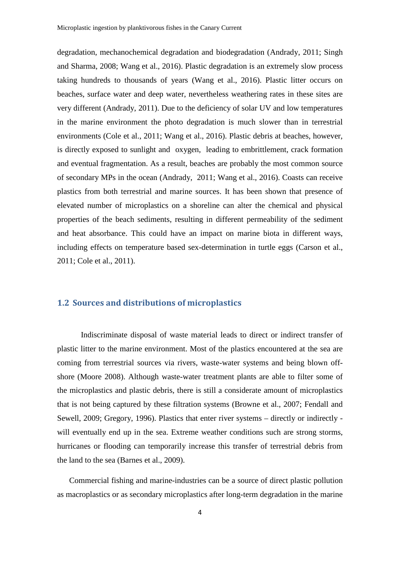degradation, mechanochemical degradation and biodegradation (Andrady, 2011; Singh and Sharma, 2008; Wang et al., 2016). Plastic degradation is an extremely slow process taking hundreds to thousands of years (Wang et al., 2016). Plastic litter occurs on beaches, surface water and deep water, nevertheless weathering rates in these sites are very different (Andrady, 2011). Due to the deficiency of solar UV and low temperatures in the marine environment the photo degradation is much slower than in terrestrial environments (Cole et al., 2011; Wang et al., 2016). Plastic debris at beaches, however, is directly exposed to sunlight and oxygen, leading to embrittlement, crack formation and eventual fragmentation. As a result, beaches are probably the most common source of secondary MPs in the ocean (Andrady, 2011; Wang et al., 2016). Coasts can receive plastics from both terrestrial and marine sources. It has been shown that presence of elevated number of microplastics on a shoreline can alter the chemical and physical properties of the beach sediments, resulting in different permeability of the sediment and heat absorbance. This could have an impact on marine biota in different ways, including effects on temperature based sex-determination in turtle eggs (Carson et al., 2011; Cole et al., 2011).

#### **1.2 Sources and distributions of microplastics**

Indiscriminate disposal of waste material leads to direct or indirect transfer of plastic litter to the marine environment. Most of the plastics encountered at the sea are coming from terrestrial sources via rivers, waste-water systems and being blown offshore (Moore 2008). Although waste-water treatment plants are able to filter some of the microplastics and plastic debris, there is still a considerate amount of microplastics that is not being captured by these filtration systems (Browne et al., 2007; Fendall and Sewell, 2009; Gregory, 1996). Plastics that enter river systems – directly or indirectly will eventually end up in the sea. Extreme weather conditions such are strong storms, hurricanes or flooding can temporarily increase this transfer of terrestrial debris from the land to the sea (Barnes et al., 2009).

Commercial fishing and marine-industries can be a source of direct plastic pollution as macroplastics or as secondary microplastics after long-term degradation in the marine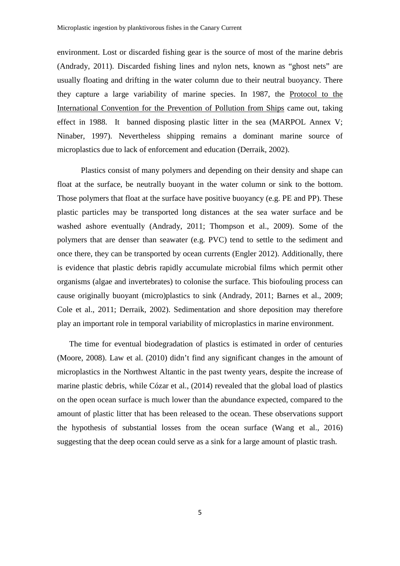environment. Lost or discarded fishing gear is the source of most of the marine debris (Andrady, 2011). Discarded fishing lines and nylon nets, known as "ghost nets" are usually floating and drifting in the water column due to their neutral buoyancy. There they capture a large variability of marine species. In 1987, the Protocol to the International Convention for the Prevention of Pollution from Ships came out, taking effect in 1988. It banned disposing plastic litter in the sea (MARPOL Annex V; Ninaber, 1997). Nevertheless shipping remains a dominant marine source of microplastics due to lack of enforcement and education (Derraik, 2002).

Plastics consist of many polymers and depending on their density and shape can float at the surface, be neutrally buoyant in the water column or sink to the bottom. Those polymers that float at the surface have positive buoyancy (e.g. PE and PP). These plastic particles may be transported long distances at the sea water surface and be washed ashore eventually (Andrady, 2011; Thompson et al., 2009). Some of the polymers that are denser than seawater (e.g. PVC) tend to settle to the sediment and once there, they can be transported by ocean currents (Engler 2012). Additionally, there is evidence that plastic debris rapidly accumulate microbial films which permit other organisms (algae and invertebrates) to colonise the surface. This biofouling process can cause originally buoyant (micro)plastics to sink (Andrady, 2011; Barnes et al., 2009; Cole et al., 2011; Derraik, 2002). Sedimentation and shore deposition may therefore play an important role in temporal variability of microplastics in marine environment.

The time for eventual biodegradation of plastics is estimated in order of centuries (Moore, 2008). Law et al. (2010) didn't find any significant changes in the amount of microplastics in the Northwest Altantic in the past twenty years, despite the increase of marine plastic debris, while Cózar et al., (2014) revealed that the global load of plastics on the open ocean surface is much lower than the abundance expected, compared to the amount of plastic litter that has been released to the ocean. These observations support the hypothesis of substantial losses from the ocean surface (Wang et al., 2016) suggesting that the deep ocean could serve as a sink for a large amount of plastic trash.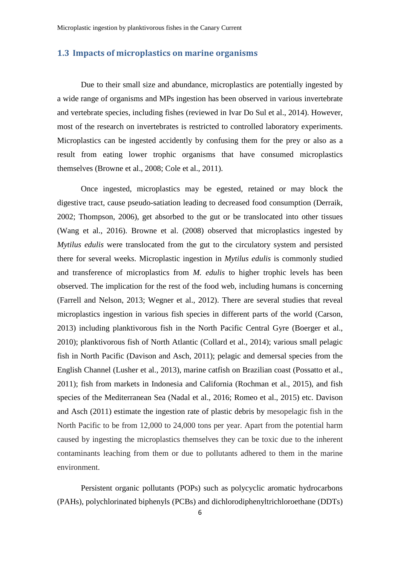#### **1.3 Impacts of microplastics on marine organisms**

Due to their small size and abundance, microplastics are potentially ingested by a wide range of organisms and MPs ingestion has been observed in various invertebrate and vertebrate species, including fishes (reviewed in Ivar Do Sul et al., 2014). However, most of the research on invertebrates is restricted to controlled laboratory experiments. Microplastics can be ingested accidently by confusing them for the prey or also as a result from eating lower trophic organisms that have consumed microplastics themselves (Browne et al., 2008; Cole et al., 2011).

Once ingested, microplastics may be egested, retained or may block the digestive tract, cause pseudo-satiation leading to decreased food consumption (Derraik, 2002; Thompson, 2006), get absorbed to the gut or be translocated into other tissues (Wang et al., 2016). Browne et al. (2008) observed that microplastics ingested by *Mytilus edulis* were translocated from the gut to the circulatory system and persisted there for several weeks. Microplastic ingestion in *Mytilus edulis* is commonly studied and transference of microplastics from *M. edulis* to higher trophic levels has been observed. The implication for the rest of the food web, including humans is concerning (Farrell and Nelson, 2013; Wegner et al., 2012). There are several studies that reveal microplastics ingestion in various fish species in different parts of the world (Carson, 2013) including planktivorous fish in the North Pacific Central Gyre (Boerger et al., 2010); planktivorous fish of North Atlantic (Collard et al., 2014); various small pelagic fish in North Pacific (Davison and Asch, 2011); pelagic and demersal species from the English Channel (Lusher et al., 2013), marine catfish on Brazilian coast (Possatto et al., 2011); fish from markets in Indonesia and California (Rochman et al., 2015), and fish species of the Mediterranean Sea (Nadal et al., 2016; Romeo et al., 2015) etc. Davison and Asch (2011) estimate the ingestion rate of plastic debris by mesopelagic fish in the North Pacific to be from 12,000 to 24,000 tons per year. Apart from the potential harm caused by ingesting the microplastics themselves they can be toxic due to the inherent contaminants leaching from them or due to pollutants adhered to them in the marine environment.

Persistent organic pollutants (POPs) such as polycyclic aromatic hydrocarbons (PAHs), polychlorinated biphenyls (PCBs) and dichlorodiphenyltrichloroethane (DDTs)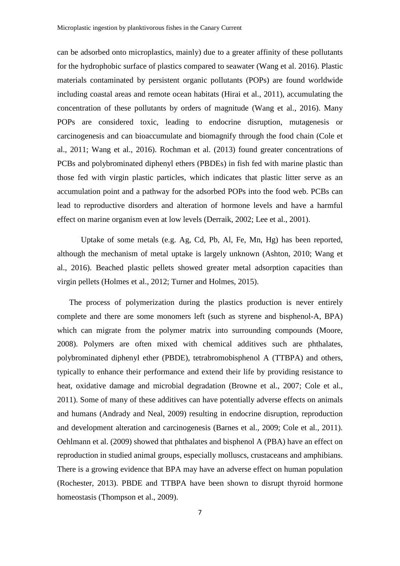can be adsorbed onto microplastics, mainly) due to a greater affinity of these pollutants for the hydrophobic surface of plastics compared to seawater (Wang et al. 2016). Plastic materials contaminated by persistent organic pollutants (POPs) are found worldwide including coastal areas and remote ocean habitats (Hirai et al., 2011), accumulating the concentration of these pollutants by orders of magnitude (Wang et al., 2016). Many POPs are considered toxic, leading to endocrine disruption, mutagenesis or carcinogenesis and can bioaccumulate and biomagnify through the food chain (Cole et al., 2011; Wang et al., 2016). Rochman et al. (2013) found greater concentrations of PCBs and polybrominated diphenyl ethers (PBDEs) in fish fed with marine plastic than those fed with virgin plastic particles, which indicates that plastic litter serve as an accumulation point and a pathway for the adsorbed POPs into the food web. PCBs can lead to reproductive disorders and alteration of hormone levels and have a harmful effect on marine organism even at low levels (Derraik, 2002; Lee et al., 2001).

Uptake of some metals (e.g. Ag, Cd, Pb, Al, Fe, Mn, Hg) has been reported, although the mechanism of metal uptake is largely unknown (Ashton, 2010; Wang et al., 2016). Beached plastic pellets showed greater metal adsorption capacities than virgin pellets (Holmes et al., 2012; Turner and Holmes, 2015).

The process of polymerization during the plastics production is never entirely complete and there are some monomers left (such as styrene and bisphenol-A, BPA) which can migrate from the polymer matrix into surrounding compounds (Moore, 2008). Polymers are often mixed with chemical additives such are phthalates, polybrominated diphenyl ether (PBDE), tetrabromobisphenol A (TTBPA) and others, typically to enhance their performance and extend their life by providing resistance to heat, oxidative damage and microbial degradation (Browne et al., 2007; Cole et al., 2011). Some of many of these additives can have potentially adverse effects on animals and humans (Andrady and Neal, 2009) resulting in endocrine disruption, reproduction and development alteration and carcinogenesis (Barnes et al., 2009; Cole et al., 2011). Oehlmann et al. (2009) showed that phthalates and bisphenol A (PBA) have an effect on reproduction in studied animal groups, especially molluscs, crustaceans and amphibians. There is a growing evidence that BPA may have an adverse effect on human population (Rochester, 2013). PBDE and TTBPA have been shown to disrupt thyroid hormone homeostasis (Thompson et al., 2009).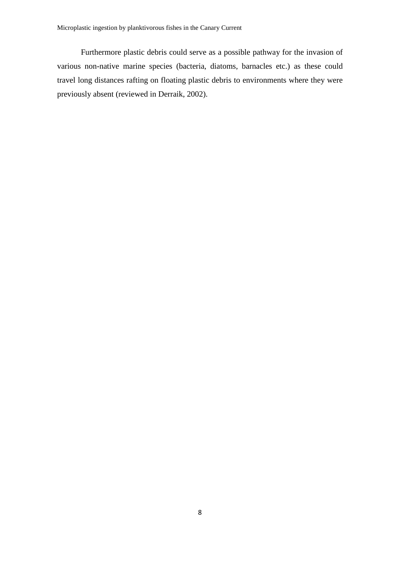Furthermore plastic debris could serve as a possible pathway for the invasion of various non-native marine species (bacteria, diatoms, barnacles etc.) as these could travel long distances rafting on floating plastic debris to environments where they were previously absent (reviewed in Derraik, 2002).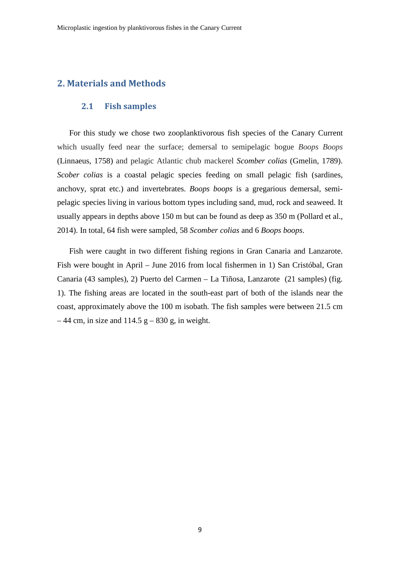## **2. Materials and Methods**

#### **2.1 Fish samples**

For this study we chose two zooplanktivorous fish species of the Canary Current which usually feed near the surface; demersal to semipelagic bogue *Boops Boops* (Linnaeus, 1758) and pelagic Atlantic chub mackerel *Scomber colias* (Gmelin, 1789). *Scober colias* is a coastal pelagic species feeding on small pelagic fish (sardines, anchovy, sprat etc.) and invertebrates. *Boops boops* is a gregarious demersal, semipelagic species living in various bottom types including sand, mud, rock and seaweed. It usually appears in depths above 150 m but can be found as deep as 350 m (Pollard et al., 2014). In total, 64 fish were sampled, 58 *Scomber colias* and 6 *Boops boops*.

Fish were caught in two different fishing regions in Gran Canaria and Lanzarote. Fish were bought in April – June 2016 from local fishermen in 1) San Cristóbal, Gran Canaria (43 samples), 2) Puerto del Carmen – La Tiñosa, Lanzarote (21 samples) (fig. 1). The fishing areas are located in the south-east part of both of the islands near the coast, approximately above the 100 m isobath. The fish samples were between 21.5 cm  $-44$  cm, in size and 114.5 g  $-830$  g, in weight.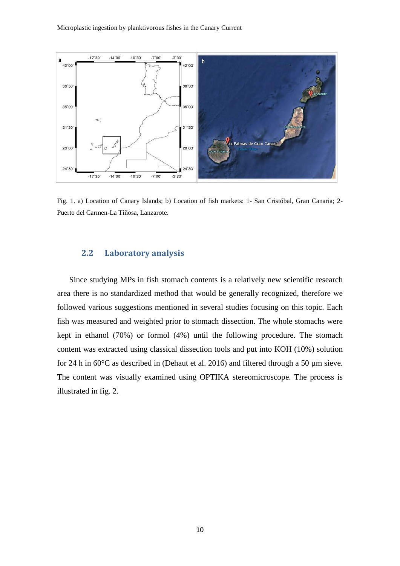

Fig. 1. a) Location of Canary Islands; b) Location of fish markets: 1- San Cristóbal, Gran Canaria; 2- Puerto del Carmen-La Tiñosa, Lanzarote.

#### **2.2 Laboratory analysis**

Since studying MPs in fish stomach contents is a relatively new scientific research area there is no standardized method that would be generally recognized, therefore we followed various suggestions mentioned in several studies focusing on this topic. Each fish was measured and weighted prior to stomach dissection. The whole stomachs were kept in ethanol (70%) or formol (4%) until the following procedure. The stomach content was extracted using classical dissection tools and put into KOH (10%) solution for 24 h in 60°C as described in (Dehaut et al. 2016) and filtered through a 50 µm sieve. The content was visually examined using OPTIKA stereomicroscope. The process is illustrated in fig. 2.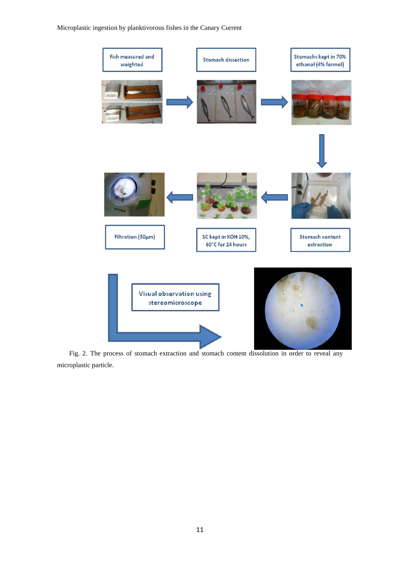Microplastic ingestion by planktivorous fishes in the Canary Current



Fig. 2. The process of stomach extraction and stomach content dissolution in order to reveal any microplastic particle.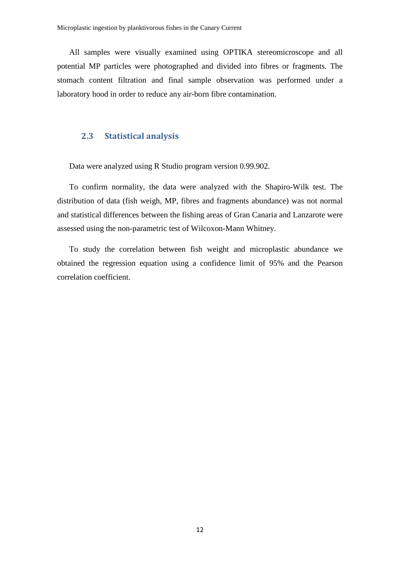All samples were visually examined using OPTIKA stereomicroscope and all potential MP particles were photographed and divided into fibres or fragments. The stomach content filtration and final sample observation was performed under a laboratory hood in order to reduce any air-born fibre contamination.

#### **2.3 Statistical analysis**

Data were analyzed using R Studio program version 0.99.902.

To confirm normality, the data were analyzed with the Shapiro-Wilk test. The distribution of data (fish weigh, MP, fibres and fragments abundance) was not normal and statistical differences between the fishing areas of Gran Canaria and Lanzarote were assessed using the non-parametric test of Wilcoxon-Mann Whitney.

To study the correlation between fish weight and microplastic abundance we obtained the regression equation using a confidence limit of 95% and the Pearson correlation coefficient.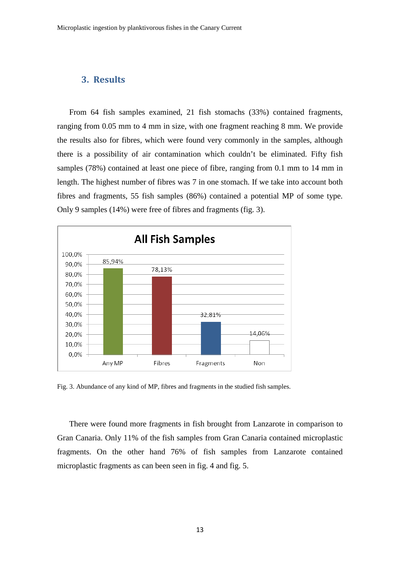## **3. Results**

From 64 fish samples examined, 21 fish stomachs (33%) contained fragments, ranging from 0.05 mm to 4 mm in size, with one fragment reaching 8 mm. We provide the results also for fibres, which were found very commonly in the samples, although there is a possibility of air contamination which couldn't be eliminated. Fifty fish samples (78%) contained at least one piece of fibre, ranging from 0.1 mm to 14 mm in length. The highest number of fibres was 7 in one stomach. If we take into account both fibres and fragments, 55 fish samples (86%) contained a potential MP of some type. Only 9 samples (14%) were free of fibres and fragments (fig. 3).



Fig. 3. Abundance of any kind of MP, fibres and fragments in the studied fish samples.

There were found more fragments in fish brought from Lanzarote in comparison to Gran Canaria. Only 11% of the fish samples from Gran Canaria contained microplastic fragments. On the other hand 76% of fish samples from Lanzarote contained microplastic fragments as can been seen in fig. 4 and fig. 5.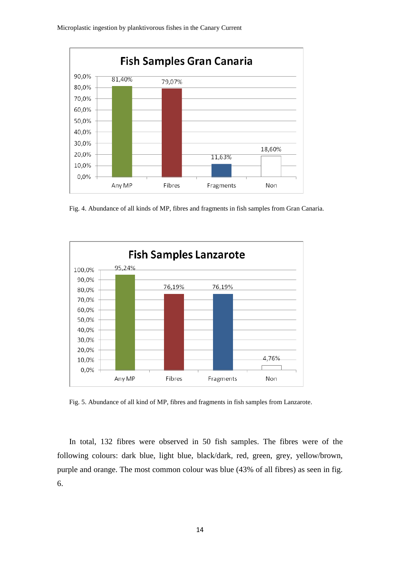

Fig. 4. Abundance of all kinds of MP, fibres and fragments in fish samples from Gran Canaria.



Fig. 5. Abundance of all kind of MP, fibres and fragments in fish samples from Lanzarote.

In total, 132 fibres were observed in 50 fish samples. The fibres were of the following colours: dark blue, light blue, black/dark, red, green, grey, yellow/brown, purple and orange. The most common colour was blue (43% of all fibres) as seen in fig. 6.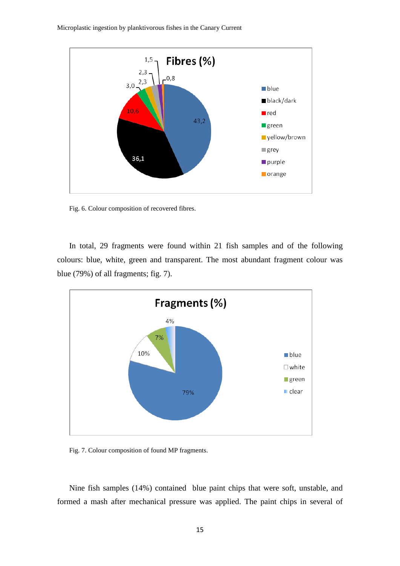Microplastic ingestion by planktivorous fishes in the Canary Current



Fig. 6. Colour composition of recovered fibres.

In total, 29 fragments were found within 21 fish samples and of the following colours: blue, white, green and transparent. The most abundant fragment colour was blue (79%) of all fragments; fig. 7).



Fig. 7. Colour composition of found MP fragments.

Nine fish samples (14%) contained blue paint chips that were soft, unstable, and formed a mash after mechanical pressure was applied. The paint chips in several of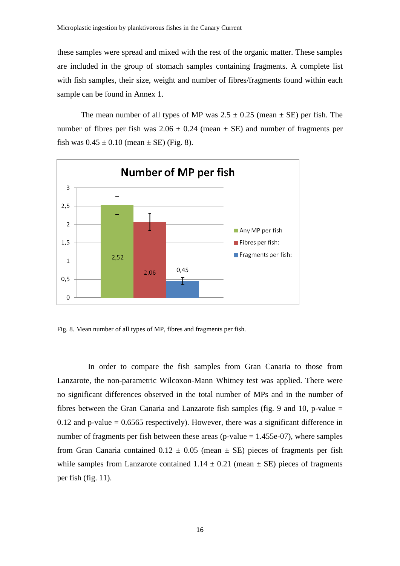these samples were spread and mixed with the rest of the organic matter. These samples are included in the group of stomach samples containing fragments. A complete list with fish samples, their size, weight and number of fibres/fragments found within each sample can be found in Annex 1.

The mean number of all types of MP was  $2.5 \pm 0.25$  (mean  $\pm$  SE) per fish. The number of fibres per fish was  $2.06 \pm 0.24$  (mean  $\pm$  SE) and number of fragments per fish was  $0.45 \pm 0.10$  (mean  $\pm$  SE) (Fig. 8).



Fig. 8. Mean number of all types of MP, fibres and fragments per fish.

In order to compare the fish samples from Gran Canaria to those from Lanzarote, the non-parametric Wilcoxon-Mann Whitney test was applied. There were no significant differences observed in the total number of MPs and in the number of fibres between the Gran Canaria and Lanzarote fish samples (fig. 9 and 10, p-value = 0.12 and p-value  $= 0.6565$  respectively). However, there was a significant difference in number of fragments per fish between these areas (p-value  $= 1.455e-07$ ), where samples from Gran Canaria contained  $0.12 \pm 0.05$  (mean  $\pm$  SE) pieces of fragments per fish while samples from Lanzarote contained  $1.14 \pm 0.21$  (mean  $\pm$  SE) pieces of fragments per fish (fig. 11).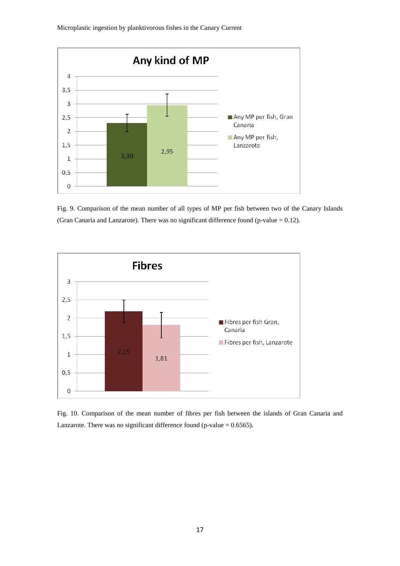

Microplastic ingestion by planktivorous fishes in the Canary Current





Fig. 10. Comparison of the mean number of fibres per fish between the islands of Gran Canaria and Lanzarote. There was no significant difference found (p-value  $= 0.6565$ ).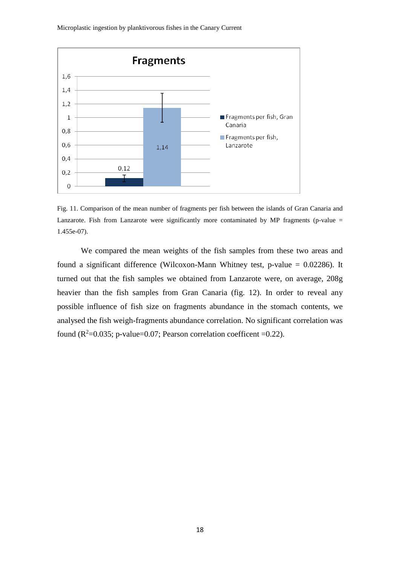Microplastic ingestion by planktivorous fishes in the Canary Current



Fig. 11. Comparison of the mean number of fragments per fish between the islands of Gran Canaria and Lanzarote. Fish from Lanzarote were significantly more contaminated by MP fragments (p-value  $=$ 1.455e-07).

We compared the mean weights of the fish samples from these two areas and found a significant difference (Wilcoxon-Mann Whitney test, p-value = 0.02286). It turned out that the fish samples we obtained from Lanzarote were, on average, 208g heavier than the fish samples from Gran Canaria (fig. 12). In order to reveal any possible influence of fish size on fragments abundance in the stomach contents, we analysed the fish weigh-fragments abundance correlation. No significant correlation was found ( $R^2$ =0.035; p-value=0.07; Pearson correlation coefficent =0.22).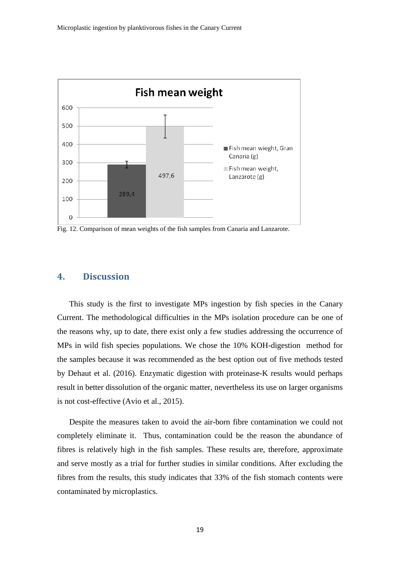

Fig. 12. Comparison of mean weights of the fish samples from Canaria and Lanzarote.

## **4. Discussion**

This study is the first to investigate MPs ingestion by fish species in the Canary Current. The methodological difficulties in the MPs isolation procedure can be one of the reasons why, up to date, there exist only a few studies addressing the occurrence of MPs in wild fish species populations. We chose the 10% KOH-digestion method for the samples because it was recommended as the best option out of five methods tested by Dehaut et al. (2016). Enzymatic digestion with proteinase-K results would perhaps result in better dissolution of the organic matter, nevertheless its use on larger organisms is not cost-effective (Avio et al., 2015).

Despite the measures taken to avoid the air-born fibre contamination we could not completely eliminate it. Thus, contamination could be the reason the abundance of fibres is relatively high in the fish samples. These results are, therefore, approximate and serve mostly as a trial for further studies in similar conditions. After excluding the fibres from the results, this study indicates that 33% of the fish stomach contents were contaminated by microplastics.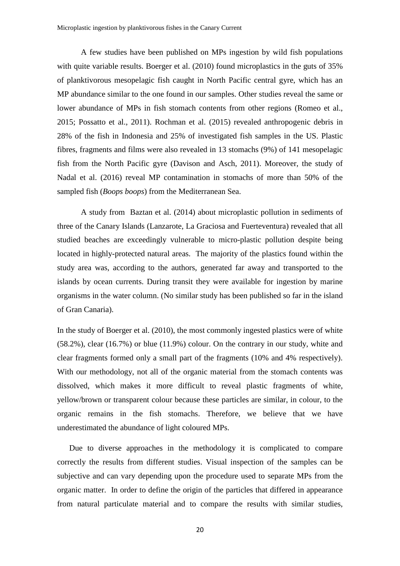A few studies have been published on MPs ingestion by wild fish populations with quite variable results. Boerger et al. (2010) found microplastics in the guts of 35% of planktivorous mesopelagic fish caught in North Pacific central gyre, which has an MP abundance similar to the one found in our samples. Other studies reveal the same or lower abundance of MPs in fish stomach contents from other regions (Romeo et al., 2015; Possatto et al., 2011). Rochman et al. (2015) revealed anthropogenic debris in 28% of the fish in Indonesia and 25% of investigated fish samples in the US. Plastic fibres, fragments and films were also revealed in 13 stomachs (9%) of 141 mesopelagic fish from the North Pacific gyre (Davison and Asch, 2011). Moreover, the study of Nadal et al. (2016) reveal MP contamination in stomachs of more than 50% of the sampled fish (*Boops boops*) from the Mediterranean Sea.

A study from Baztan et al. (2014) about microplastic pollution in sediments of three of the Canary Islands (Lanzarote, La Graciosa and Fuerteventura) revealed that all studied beaches are exceedingly vulnerable to micro-plastic pollution despite being located in highly-protected natural areas. The majority of the plastics found within the study area was, according to the authors, generated far away and transported to the islands by ocean currents. During transit they were available for ingestion by marine organisms in the water column. (No similar study has been published so far in the island of Gran Canaria).

In the study of Boerger et al. (2010), the most commonly ingested plastics were of white (58.2%), clear (16.7%) or blue (11.9%) colour. On the contrary in our study, white and clear fragments formed only a small part of the fragments (10% and 4% respectively). With our methodology, not all of the organic material from the stomach contents was dissolved, which makes it more difficult to reveal plastic fragments of white, yellow/brown or transparent colour because these particles are similar, in colour, to the organic remains in the fish stomachs. Therefore, we believe that we have underestimated the abundance of light coloured MPs.

Due to diverse approaches in the methodology it is complicated to compare correctly the results from different studies. Visual inspection of the samples can be subjective and can vary depending upon the procedure used to separate MPs from the organic matter. In order to define the origin of the particles that differed in appearance from natural particulate material and to compare the results with similar studies,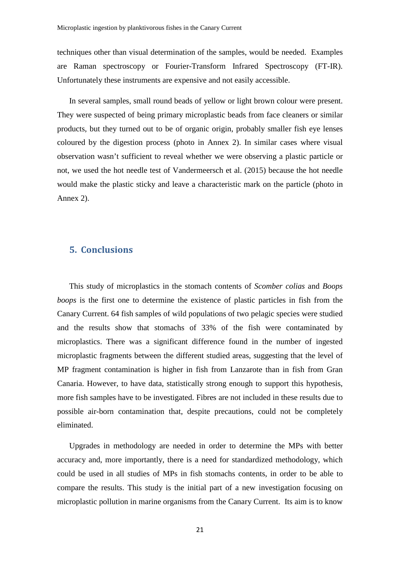techniques other than visual determination of the samples, would be needed. Examples are Raman spectroscopy or Fourier-Transform Infrared Spectroscopy (FT-IR). Unfortunately these instruments are expensive and not easily accessible.

In several samples, small round beads of yellow or light brown colour were present. They were suspected of being primary microplastic beads from face cleaners or similar products, but they turned out to be of organic origin, probably smaller fish eye lenses coloured by the digestion process (photo in Annex 2). In similar cases where visual observation wasn't sufficient to reveal whether we were observing a plastic particle or not, we used the hot needle test of Vandermeersch et al. (2015) because the hot needle would make the plastic sticky and leave a characteristic mark on the particle (photo in Annex 2).

## **5. Conclusions**

This study of microplastics in the stomach contents of *Scomber colias* and *Boops boops* is the first one to determine the existence of plastic particles in fish from the Canary Current. 64 fish samples of wild populations of two pelagic species were studied and the results show that stomachs of 33% of the fish were contaminated by microplastics. There was a significant difference found in the number of ingested microplastic fragments between the different studied areas, suggesting that the level of MP fragment contamination is higher in fish from Lanzarote than in fish from Gran Canaria. However, to have data, statistically strong enough to support this hypothesis, more fish samples have to be investigated. Fibres are not included in these results due to possible air-born contamination that, despite precautions, could not be completely eliminated.

Upgrades in methodology are needed in order to determine the MPs with better accuracy and, more importantly, there is a need for standardized methodology, which could be used in all studies of MPs in fish stomachs contents, in order to be able to compare the results. This study is the initial part of a new investigation focusing on microplastic pollution in marine organisms from the Canary Current. Its aim is to know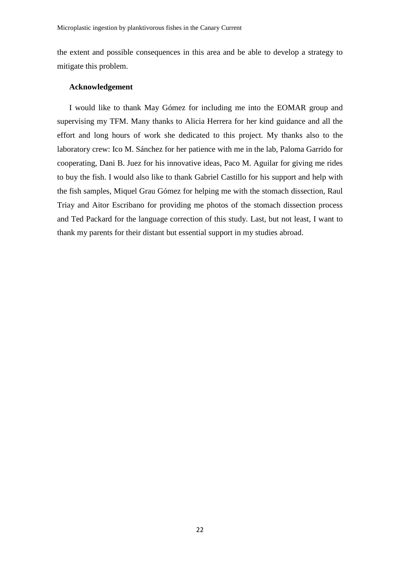the extent and possible consequences in this area and be able to develop a strategy to mitigate this problem.

#### **Acknowledgement**

I would like to thank May Gómez for including me into the EOMAR group and supervising my TFM. Many thanks to Alicia Herrera for her kind guidance and all the effort and long hours of work she dedicated to this project. My thanks also to the laboratory crew: Ico M. Sánchez for her patience with me in the lab, Paloma Garrido for cooperating, Dani B. Juez for his innovative ideas, Paco M. Aguilar for giving me rides to buy the fish. I would also like to thank Gabriel Castillo for his support and help with the fish samples, Miquel Grau Gómez for helping me with the stomach dissection, Raul Triay and Aitor Escribano for providing me photos of the stomach dissection process and Ted Packard for the language correction of this study. Last, but not least, I want to thank my parents for their distant but essential support in my studies abroad.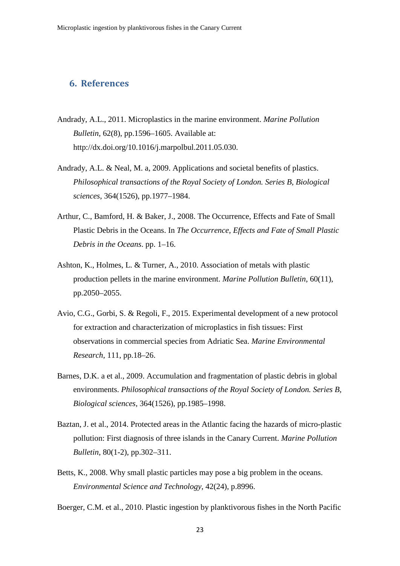## **6. References**

- Andrady, A.L., 2011. Microplastics in the marine environment. *Marine Pollution Bulletin*, 62(8), pp.1596–1605. Available at: http://dx.doi.org/10.1016/j.marpolbul.2011.05.030.
- Andrady, A.L. & Neal, M. a, 2009. Applications and societal benefits of plastics. *Philosophical transactions of the Royal Society of London. Series B, Biological sciences*, 364(1526), pp.1977–1984.
- Arthur, C., Bamford, H. & Baker, J., 2008. The Occurrence, Effects and Fate of Small Plastic Debris in the Oceans. In *The Occurrence, Effects and Fate of Small Plastic Debris in the Oceans*. pp. 1–16.
- Ashton, K., Holmes, L. & Turner, A., 2010. Association of metals with plastic production pellets in the marine environment. *Marine Pollution Bulletin*, 60(11), pp.2050–2055.
- Avio, C.G., Gorbi, S. & Regoli, F., 2015. Experimental development of a new protocol for extraction and characterization of microplastics in fish tissues: First observations in commercial species from Adriatic Sea. *Marine Environmental Research*, 111, pp.18–26.
- Barnes, D.K. a et al., 2009. Accumulation and fragmentation of plastic debris in global environments. *Philosophical transactions of the Royal Society of London. Series B, Biological sciences*, 364(1526), pp.1985–1998.
- Baztan, J. et al., 2014. Protected areas in the Atlantic facing the hazards of micro-plastic pollution: First diagnosis of three islands in the Canary Current. *Marine Pollution Bulletin*, 80(1-2), pp.302–311.
- Betts, K., 2008. Why small plastic particles may pose a big problem in the oceans. *Environmental Science and Technology*, 42(24), p.8996.

Boerger, C.M. et al., 2010. Plastic ingestion by planktivorous fishes in the North Pacific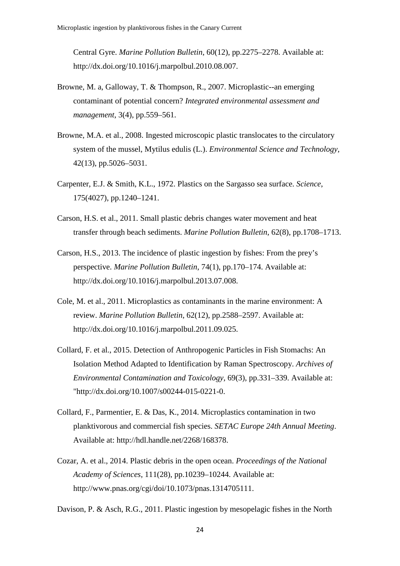Central Gyre. *Marine Pollution Bulletin*, 60(12), pp.2275–2278. Available at: http://dx.doi.org/10.1016/j.marpolbul.2010.08.007.

- Browne, M. a, Galloway, T. & Thompson, R., 2007. Microplastic--an emerging contaminant of potential concern? *Integrated environmental assessment and management*, 3(4), pp.559–561.
- Browne, M.A. et al., 2008. Ingested microscopic plastic translocates to the circulatory system of the mussel, Mytilus edulis (L.). *Environmental Science and Technology*, 42(13), pp.5026–5031.
- Carpenter, E.J. & Smith, K.L., 1972. Plastics on the Sargasso sea surface. *Science*, 175(4027), pp.1240–1241.
- Carson, H.S. et al., 2011. Small plastic debris changes water movement and heat transfer through beach sediments. *Marine Pollution Bulletin*, 62(8), pp.1708–1713.
- Carson, H.S., 2013. The incidence of plastic ingestion by fishes: From the prey's perspective. *Marine Pollution Bulletin*, 74(1), pp.170–174. Available at: http://dx.doi.org/10.1016/j.marpolbul.2013.07.008.
- Cole, M. et al., 2011. Microplastics as contaminants in the marine environment: A review. *Marine Pollution Bulletin*, 62(12), pp.2588–2597. Available at: http://dx.doi.org/10.1016/j.marpolbul.2011.09.025.
- Collard, F. et al., 2015. Detection of Anthropogenic Particles in Fish Stomachs: An Isolation Method Adapted to Identification by Raman Spectroscopy. *Archives of Environmental Contamination and Toxicology*, 69(3), pp.331–339. Available at: "http://dx.doi.org/10.1007/s00244-015-0221-0.
- Collard, F., Parmentier, E. & Das, K., 2014. Microplastics contamination in two planktivorous and commercial fish species. *SETAC Europe 24th Annual Meeting*. Available at: http://hdl.handle.net/2268/168378.
- Cozar, A. et al., 2014. Plastic debris in the open ocean. *Proceedings of the National Academy of Sciences*, 111(28), pp.10239–10244. Available at: http://www.pnas.org/cgi/doi/10.1073/pnas.1314705111.

Davison, P. & Asch, R.G., 2011. Plastic ingestion by mesopelagic fishes in the North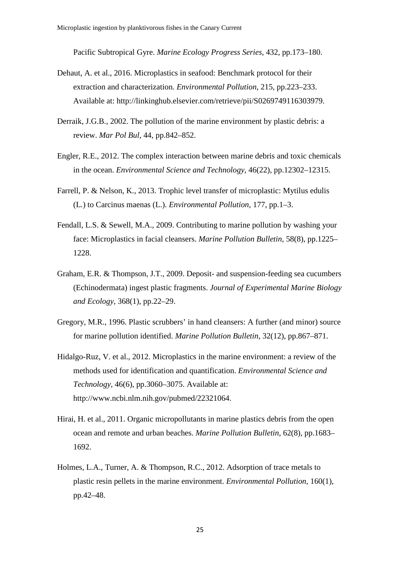Pacific Subtropical Gyre. *Marine Ecology Progress Series*, 432, pp.173–180.

- Dehaut, A. et al., 2016. Microplastics in seafood: Benchmark protocol for their extraction and characterization. *Environmental Pollution*, 215, pp.223–233. Available at: http://linkinghub.elsevier.com/retrieve/pii/S0269749116303979.
- Derraik, J.G.B., 2002. The pollution of the marine environment by plastic debris: a review. *Mar Pol Bul*, 44, pp.842–852.
- Engler, R.E., 2012. The complex interaction between marine debris and toxic chemicals in the ocean. *Environmental Science and Technology*, 46(22), pp.12302–12315.
- Farrell, P. & Nelson, K., 2013. Trophic level transfer of microplastic: Mytilus edulis (L.) to Carcinus maenas (L.). *Environmental Pollution*, 177, pp.1–3.
- Fendall, L.S. & Sewell, M.A., 2009. Contributing to marine pollution by washing your face: Microplastics in facial cleansers. *Marine Pollution Bulletin*, 58(8), pp.1225– 1228.
- Graham, E.R. & Thompson, J.T., 2009. Deposit- and suspension-feeding sea cucumbers (Echinodermata) ingest plastic fragments. *Journal of Experimental Marine Biology and Ecology*, 368(1), pp.22–29.
- Gregory, M.R., 1996. Plastic scrubbers' in hand cleansers: A further (and minor) source for marine pollution identified. *Marine Pollution Bulletin*, 32(12), pp.867–871.
- Hidalgo-Ruz, V. et al., 2012. Microplastics in the marine environment: a review of the methods used for identification and quantification. *Environmental Science and Technology*, 46(6), pp.3060–3075. Available at: http://www.ncbi.nlm.nih.gov/pubmed/22321064.
- Hirai, H. et al., 2011. Organic micropollutants in marine plastics debris from the open ocean and remote and urban beaches. *Marine Pollution Bulletin*, 62(8), pp.1683– 1692.
- Holmes, L.A., Turner, A. & Thompson, R.C., 2012. Adsorption of trace metals to plastic resin pellets in the marine environment. *Environmental Pollution*, 160(1), pp.42–48.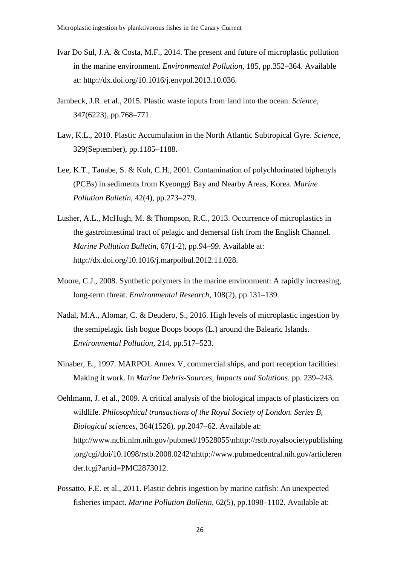- Ivar Do Sul, J.A. & Costa, M.F., 2014. The present and future of microplastic pollution in the marine environment. *Environmental Pollution*, 185, pp.352–364. Available at: http://dx.doi.org/10.1016/j.envpol.2013.10.036.
- Jambeck, J.R. et al., 2015. Plastic waste inputs from land into the ocean. *Science*, 347(6223), pp.768–771.
- Law, K.L., 2010. Plastic Accumulation in the North Atlantic Subtropical Gyre. *Science*, 329(September), pp.1185–1188.
- Lee, K.T., Tanabe, S. & Koh, C.H., 2001. Contamination of polychlorinated biphenyls (PCBs) in sediments from Kyeonggi Bay and Nearby Areas, Korea. *Marine Pollution Bulletin*, 42(4), pp.273–279.
- Lusher, A.L., McHugh, M. & Thompson, R.C., 2013. Occurrence of microplastics in the gastrointestinal tract of pelagic and demersal fish from the English Channel. *Marine Pollution Bulletin*, 67(1-2), pp.94–99. Available at: http://dx.doi.org/10.1016/j.marpolbul.2012.11.028.
- Moore, C.J., 2008. Synthetic polymers in the marine environment: A rapidly increasing, long-term threat. *Environmental Research*, 108(2), pp.131–139.
- Nadal, M.A., Alomar, C. & Deudero, S., 2016. High levels of microplastic ingestion by the semipelagic fish bogue Boops boops (L.) around the Balearic Islands. *Environmental Pollution*, 214, pp.517–523.
- Ninaber, E., 1997. MARPOL Annex V, commercial ships, and port reception facilities: Making it work. In *Marine Debris-Sources, Impacts and Solutions*. pp. 239–243.
- Oehlmann, J. et al., 2009. A critical analysis of the biological impacts of plasticizers on wildlife. *Philosophical transactions of the Royal Society of London. Series B, Biological sciences*, 364(1526), pp.2047–62. Available at: http://www.ncbi.nlm.nih.gov/pubmed/19528055\nhttp://rstb.royalsocietypublishing .org/cgi/doi/10.1098/rstb.2008.0242\nhttp://www.pubmedcentral.nih.gov/articleren der.fcgi?artid=PMC2873012.
- Possatto, F.E. et al., 2011. Plastic debris ingestion by marine catfish: An unexpected fisheries impact. *Marine Pollution Bulletin*, 62(5), pp.1098–1102. Available at: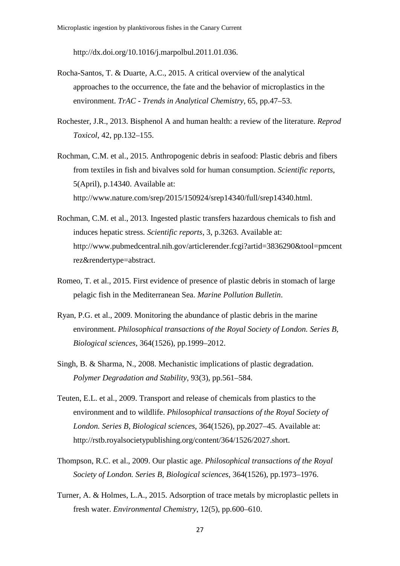http://dx.doi.org/10.1016/j.marpolbul.2011.01.036.

- Rocha-Santos, T. & Duarte, A.C., 2015. A critical overview of the analytical approaches to the occurrence, the fate and the behavior of microplastics in the environment. *TrAC - Trends in Analytical Chemistry*, 65, pp.47–53.
- Rochester, J.R., 2013. Bisphenol A and human health: a review of the literature. *Reprod Toxicol*, 42, pp.132–155.
- Rochman, C.M. et al., 2015. Anthropogenic debris in seafood: Plastic debris and fibers from textiles in fish and bivalves sold for human consumption. *Scientific reports*, 5(April), p.14340. Available at: http://www.nature.com/srep/2015/150924/srep14340/full/srep14340.html.
- Rochman, C.M. et al., 2013. Ingested plastic transfers hazardous chemicals to fish and induces hepatic stress. *Scientific reports*, 3, p.3263. Available at: http://www.pubmedcentral.nih.gov/articlerender.fcgi?artid=3836290&tool=pmcent rez&rendertype=abstract.
- Romeo, T. et al., 2015. First evidence of presence of plastic debris in stomach of large pelagic fish in the Mediterranean Sea. *Marine Pollution Bulletin*.
- Ryan, P.G. et al., 2009. Monitoring the abundance of plastic debris in the marine environment. *Philosophical transactions of the Royal Society of London. Series B, Biological sciences*, 364(1526), pp.1999–2012.
- Singh, B. & Sharma, N., 2008. Mechanistic implications of plastic degradation. *Polymer Degradation and Stability*, 93(3), pp.561–584.
- Teuten, E.L. et al., 2009. Transport and release of chemicals from plastics to the environment and to wildlife. *Philosophical transactions of the Royal Society of London. Series B, Biological sciences*, 364(1526), pp.2027–45. Available at: http://rstb.royalsocietypublishing.org/content/364/1526/2027.short.
- Thompson, R.C. et al., 2009. Our plastic age. *Philosophical transactions of the Royal Society of London. Series B, Biological sciences*, 364(1526), pp.1973–1976.
- Turner, A. & Holmes, L.A., 2015. Adsorption of trace metals by microplastic pellets in fresh water. *Environmental Chemistry*, 12(5), pp.600–610.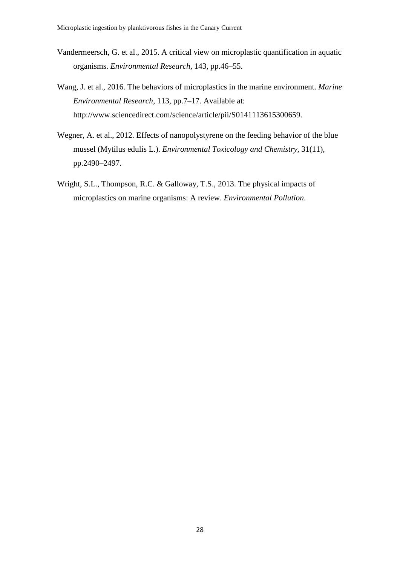- Vandermeersch, G. et al., 2015. A critical view on microplastic quantification in aquatic organisms. *Environmental Research*, 143, pp.46–55.
- Wang, J. et al., 2016. The behaviors of microplastics in the marine environment. *Marine Environmental Research*, 113, pp.7–17. Available at: http://www.sciencedirect.com/science/article/pii/S0141113615300659.
- Wegner, A. et al., 2012. Effects of nanopolystyrene on the feeding behavior of the blue mussel (Mytilus edulis L.). *Environmental Toxicology and Chemistry*, 31(11), pp.2490–2497.
- Wright, S.L., Thompson, R.C. & Galloway, T.S., 2013. The physical impacts of microplastics on marine organisms: A review. *Environmental Pollution*.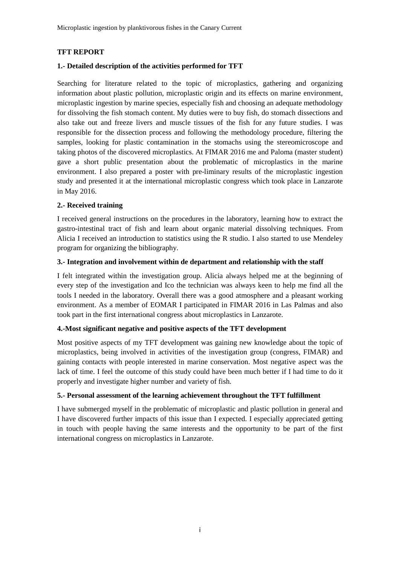Microplastic ingestion by planktivorous fishes in the Canary Current

#### **TFT REPORT**

#### **1.- Detailed description of the activities performed for TFT**

Searching for literature related to the topic of microplastics, gathering and organizing information about plastic pollution, microplastic origin and its effects on marine environment, microplastic ingestion by marine species, especially fish and choosing an adequate methodology for dissolving the fish stomach content. My duties were to buy fish, do stomach dissections and also take out and freeze livers and muscle tissues of the fish for any future studies. I was responsible for the dissection process and following the methodology procedure, filtering the samples, looking for plastic contamination in the stomachs using the stereomicroscope and taking photos of the discovered microplastics. At FIMAR 2016 me and Paloma (master student) gave a short public presentation about the problematic of microplastics in the marine environment. I also prepared a poster with pre-liminary results of the microplastic ingestion study and presented it at the international microplastic congress which took place in Lanzarote in May 2016.

#### **2.- Received training**

I received general instructions on the procedures in the laboratory, learning how to extract the gastro-intestinal tract of fish and learn about organic material dissolving techniques. From Alicia I received an introduction to statistics using the R studio. I also started to use Mendeley program for organizing the bibliography.

#### **3.- Integration and involvement within de department and relationship with the staff**

I felt integrated within the investigation group. Alicia always helped me at the beginning of every step of the investigation and Ico the technician was always keen to help me find all the tools I needed in the laboratory. Overall there was a good atmosphere and a pleasant working environment. As a member of EOMAR I participated in FIMAR 2016 in Las Palmas and also took part in the first international congress about microplastics in Lanzarote.

#### **4.-Most significant negative and positive aspects of the TFT development**

Most positive aspects of my TFT development was gaining new knowledge about the topic of microplastics, being involved in activities of the investigation group (congress, FIMAR) and gaining contacts with people interested in marine conservation. Most negative aspect was the lack of time. I feel the outcome of this study could have been much better if I had time to do it properly and investigate higher number and variety of fish.

#### **5.- Personal assessment of the learning achievement throughout the TFT fulfillment**

I have submerged myself in the problematic of microplastic and plastic pollution in general and I have discovered further impacts of this issue than I expected. I especially appreciated getting in touch with people having the same interests and the opportunity to be part of the first international congress on microplastics in Lanzarote.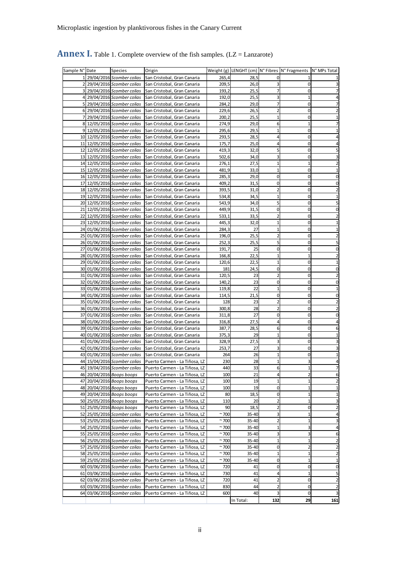| Sample N° Date | <b>Species</b>               | Origin                                                       |                |           |                         | Weight (g) LENGHT (cm) N° Fibres N° Fragments N° MPs Total |     |
|----------------|------------------------------|--------------------------------------------------------------|----------------|-----------|-------------------------|------------------------------------------------------------|-----|
|                |                              | 29/04/2016 Scomber colias San Cristobal, Gran Canaria        | 265,4          | 28,5      | 0                       |                                                            |     |
|                |                              | 29/04/2016 Scomber colias San Cristobal, Gran Canaria        | 209,5          | 26,0      | 3                       | $\mathbf 0$                                                |     |
|                |                              | 3 29/04/2016 Scomber colias San Cristobal, Gran Canaria      | 193,2          | 25,5      | 7                       | $\mathbf 0$                                                |     |
|                |                              | 4 29/04/2016 Scomber colias San Cristobal, Gran Canaria      | 192,0          | 25,5      | 3                       | $\mathbf{1}$                                               |     |
|                |                              | 5 29/04/2016 Scomber colias San Cristobal, Gran Canaria      | 284,2          | 29,0      | 7                       | 0                                                          |     |
|                |                              | 6 29/04/2016 Scomber colias San Cristobal, Gran Canaria      | 229,6          | 26,5      | $\overline{2}$          | $\mathbf 0$                                                |     |
|                |                              | 7 29/04/2016 Scomber colias San Cristobal, Gran Canaria      | 200,2          | 25,5      | $\mathbf{1}$            | $\overline{0}$                                             |     |
|                |                              | 8 12/05/2016 Scomber colias San Cristobal, Gran Canaria      | 274,9          | 29,0      | 6                       | 1                                                          |     |
|                |                              | 9 12/05/2016 Scomber colias San Cristobal, Gran Canaria      | 295,6          | 29,5      |                         | 0                                                          |     |
|                |                              | 10 12/05/2016 Scomber colias San Cristobal, Gran Canaria     | 293,5          | 28,5      | 4                       | 0                                                          |     |
|                |                              | 11 12/05/2016 Scomber colias San Cristobal, Gran Canaria     | 175,7          | 25,0      | 4                       | $\mathbf 0$                                                |     |
|                |                              | 12 12/05/2016 Scomber colias San Cristobal, Gran Canaria     | 419,3          | 32,0      | 5                       | $\mathbf 0$                                                |     |
|                |                              | 13 12/05/2016 Scomber colias San Cristobal, Gran Canaria     | 502,6          | 34,0      | 3                       | $\mathbf 0$                                                |     |
|                |                              | 14 12/05/2016 Scomber colias San Cristobal, Gran Canaria     | 276,1          | 27,5      | $\mathbf{1}$            | $\mathbf{1}$                                               |     |
|                |                              | 15 12/05/2016 Scomber colias San Cristobal, Gran Canaria     | 481,9          | 33,0      | $\overline{1}$          | $\mathbf 0$                                                |     |
|                |                              | 16 12/05/2016 Scomber colias San Cristobal, Gran Canaria     | 285,3          | 29,0      | 0                       | $\mathbf 0$                                                |     |
|                |                              | 17 12/05/2016 Scomber colias San Cristobal, Gran Canaria     | 409,2          | 31,5      | 0                       | $\mathbf 0$                                                |     |
|                |                              | 18 12/05/2016 Scomber colias San Cristobal, Gran Canaria     | 393,5          | 31,0      | $\overline{2}$          | $\overline{0}$                                             |     |
|                |                              | 19 12/05/2016 Scomber colias San Cristobal, Gran Canaria     | 534,8          | 34,5      | 1                       | $\mathbf 0$                                                |     |
|                |                              | 20 12/05/2016 Scomber colias San Cristobal, Gran Canaria     | 543,9          | 34,0      | 5                       | 0                                                          |     |
|                |                              | 21 12/05/2016 Scomber colias San Cristobal, Gran Canaria     | 449,9          | 31,5      | 0                       | 0                                                          |     |
|                |                              |                                                              |                |           | 2                       | $\mathbf 0$                                                |     |
|                |                              | 22 12/05/2016 Scomber colias San Cristobal, Gran Canaria     | 533,1          | 33,5      | $\overline{1}$          | $\mathbf 0$                                                |     |
|                |                              | 23 12/05/2016 Scomber colias San Cristobal, Gran Canaria     | 445,3          | 32,0      | $\overline{1}$          |                                                            |     |
|                |                              | 24 01/06/2016 Scomber colias San Cristobal, Gran Canaria     | 284,3          | 27        |                         | $\mathbf 0$                                                |     |
|                |                              | 25 01/06/2016 Scomber colias San Cristobal, Gran Canaria     | 196,0          | 25,5      | $\overline{2}$          | $\mathbf 0$                                                |     |
|                |                              | 26 01/06/2016 Scomber colias San Cristobal, Gran Canaria     | 252,3          | 25,5      | 5                       | $\mathbf 0$                                                |     |
|                |                              | 27 01/06/2016 Scomber colias San Cristobal, Gran Canaria     | 191,7          | 25        | 0                       | $\mathbf 0$                                                |     |
|                |                              | 28 01/06/2016 Scomber colias San Cristobal, Gran Canaria     | 166,8          | 22,5      | $\mathbf{1}$            | $\mathbf 1$                                                |     |
|                |                              | 29 01/06/2016 Scomber colias San Cristobal, Gran Canaria     | 120,6          | 22,5      | $\mathbf{1}$            | $\overline{0}$                                             |     |
|                |                              | 30 01/06/2016 Scomber colias San Cristobal, Gran Canaria     | 181            | 24,5      | 0                       | $\mathbf 0$                                                |     |
|                |                              | 31 01/06/2016 Scomber colias San Cristobal, Gran Canaria     | 120,5          | 23        | $\overline{2}$          | 0                                                          |     |
|                |                              | 32 01/06/2016 Scomber colias San Cristobal, Gran Canaria     | 140,2          | 23        | 0                       | 0                                                          |     |
|                |                              | 33 01/06/2016 Scomber colias San Cristobal, Gran Canaria     | 119,8          | 22        | 1                       | $\mathbf 0$                                                |     |
|                |                              | 34 01/06/2016 Scomber colias San Cristobal, Gran Canaria     | 114,5          | 21,5      | 0                       | $\mathbf 0$                                                |     |
|                |                              | 35 01/06/2016 Scomber colias San Cristobal, Gran Canaria     | 128            | 23        | 2                       | $\mathbf 0$                                                |     |
|                |                              | 36 01/06/2016 Scomber colias San Cristobal, Gran Canaria     | 300,8          | 28        | $\overline{2}$          | $\mathbf 0$                                                |     |
|                |                              | 37 01/06/2016 Scomber colias San Cristobal, Gran Canaria     | 311,8          | 27        | 0                       | $\mathbf 0$                                                |     |
|                |                              | 38 01/06/2016 Scomber colias San Cristobal, Gran Canaria     | 316,8          | 27,5      | 4                       | $\mathbf 0$                                                |     |
|                |                              | 39 01/06/2016 Scomber colias San Cristobal, Gran Canaria     | 387,7          | 28,5      | 6                       | $\mathbf 0$                                                |     |
|                |                              | 40 01/06/2016 Scomber colias San Cristobal, Gran Canaria     | 375,3          | 29        | $\overline{1}$          | $\overline{0}$                                             |     |
|                |                              | 41 01/06/2016 Scomber colias San Cristobal, Gran Canaria     | 328,9          | 27,5      |                         | $\mathbf 0$                                                |     |
|                |                              | 42 01/06/2016 Scomber colias San Cristobal, Gran Canaria     | 253,7          | 27        |                         | 0                                                          |     |
|                |                              | 43 01/06/2016 Scomber colias San Cristobal, Gran Canaria     | 264            | 26        |                         | 0                                                          |     |
|                |                              | 44 15/04/2016 Scomber colias   Puerto Carmen - La Tiñosa, LZ | 230            | 28        |                         | 3                                                          |     |
|                |                              | 45 19/04/2016 Scomber colias Puerto Carmen - La Tiñosa, LZ   | 440            | 33        |                         |                                                            |     |
|                | 46 20/04/2016 Boops boops    | Puerto Carmen - La Tiñosa, LZ                                | 100            | 21        | 4                       | $\overline{\mathbf{c}}$                                    | 6   |
|                | 47 20/04/2016 Boops boops    | Puerto Carmen - La Tiñosa, LZ                                | 100            | 19        | 1                       | $\mathbf 1$                                                |     |
|                | 48 20/04/2016 Boops boops    | Puerto Carmen - La Tiñosa, LZ                                | 100            | 19        | 0                       | $\mathbf 1$                                                |     |
|                | 49 20/04/2016 Boops boops    | Puerto Carmen - La Tiñosa, LZ                                | 80             | 18,5      | 0                       | 1                                                          | 1   |
|                | 50 25/05/2016 Boops boops    | Puerto Carmen - La Tiñosa, LZ                                | 110            | 20        | 2                       | $1\,$                                                      |     |
|                | 51 25/05/2016 Boops boops    | Puerto Carmen - La Tiñosa, LZ                                | 90             | 18,5      | 2                       | $\mathbf 0$                                                | 2   |
|                | 52 25/05/2016 Scomber colias | Puerto Carmen - La Tiñosa, LZ                                | $~^{\sim}$ 700 | 35-40     | 3                       | 1                                                          |     |
|                | 53 25/05/2016 Scomber colias | Puerto Carmen - La Tiñosa, LZ                                | $~^{\sim}$ 700 | $35 - 40$ | $\overline{\mathbf{c}}$ | $\mathbf{1}$                                               |     |
|                | 54 25/05/2016 Scomber colias | Puerto Carmen - La Tiñosa, LZ                                | ~100           | 35-40     | $\mathbf{1}$            | 3                                                          | 4   |
|                | 55 25/05/2016 Scomber colias | Puerto Carmen - La Tiñosa, LZ                                | $~^{\sim}$ 700 | 35-40     | 3                       | 3                                                          | 6   |
|                | 56 25/05/2016 Scomber colias | Puerto Carmen - La Tiñosa, LZ                                | $~^{\sim}$ 700 | 35-40     | $\overline{1}$          | $\mathbf 1$                                                | 2   |
|                | 57 25/05/2016 Scomber colias | Puerto Carmen - La Tiñosa, LZ                                | $~^{\sim}$ 700 | 35-40     | 0                       | 2                                                          | 2   |
|                | 58 25/05/2016 Scomber colias | Puerto Carmen - La Tiñosa, LZ                                | $~^{\sim}$ 700 | $35 - 40$ | 1                       | $\mathbf{1}$                                               | 2   |
|                | 59 25/05/2016 Scomber colias |                                                              | $~^{\sim}$ 700 | 35-40     | 0                       | $\mathbf 1$                                                |     |
|                |                              | Puerto Carmen - La Tiñosa, LZ                                |                |           |                         |                                                            |     |
|                | 60 03/06/2016 Scomber colias | Puerto Carmen - La Tiñosa, LZ                                | 720            | 41        | 0                       | $\overline{0}$                                             | 0   |
|                | 61 03/06/2016 Scomber colias | Puerto Carmen - La Tiñosa, LZ                                | 730            | 41        | 4                       | $\mathbf 1$                                                |     |
|                | 62 03/06/2016 Scomber colias | Puerto Carmen - La Tiñosa, LZ                                | 720            | 41        | 2                       | $\overline{0}$                                             | 2   |
|                | 63 03/06/2016 Scomber colias | Puerto Carmen - La Tiñosa, LZ                                | 830            | 44        | 2                       | $\mathbf 0$                                                |     |
|                | 64 03/06/2016 Scomber colias | Puerto Carmen - La Tiñosa, LZ                                | 600            | 40        | 3                       | $\overline{0}$                                             |     |
|                |                              |                                                              |                | In Total: | 132                     | 29                                                         | 161 |

## **Annex I.** Table 1. Complete overview of the fish samples. (LZ = Lanzarote)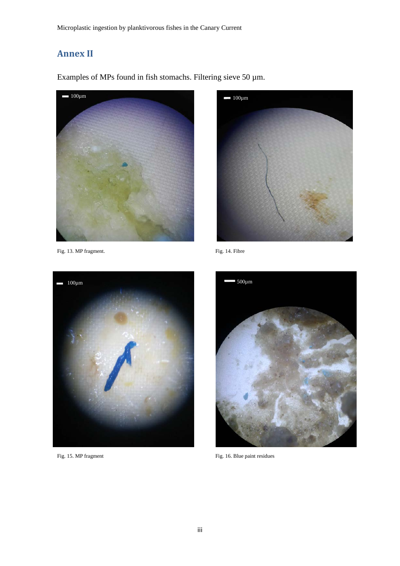# **Annex II**

Examples of MPs found in fish stomachs. Filtering sieve 50 µm.



Fig. 13. MP fragment. Fig. 14. Fibre







Fig. 15. MP fragment Fig. 16. Blue paint residues